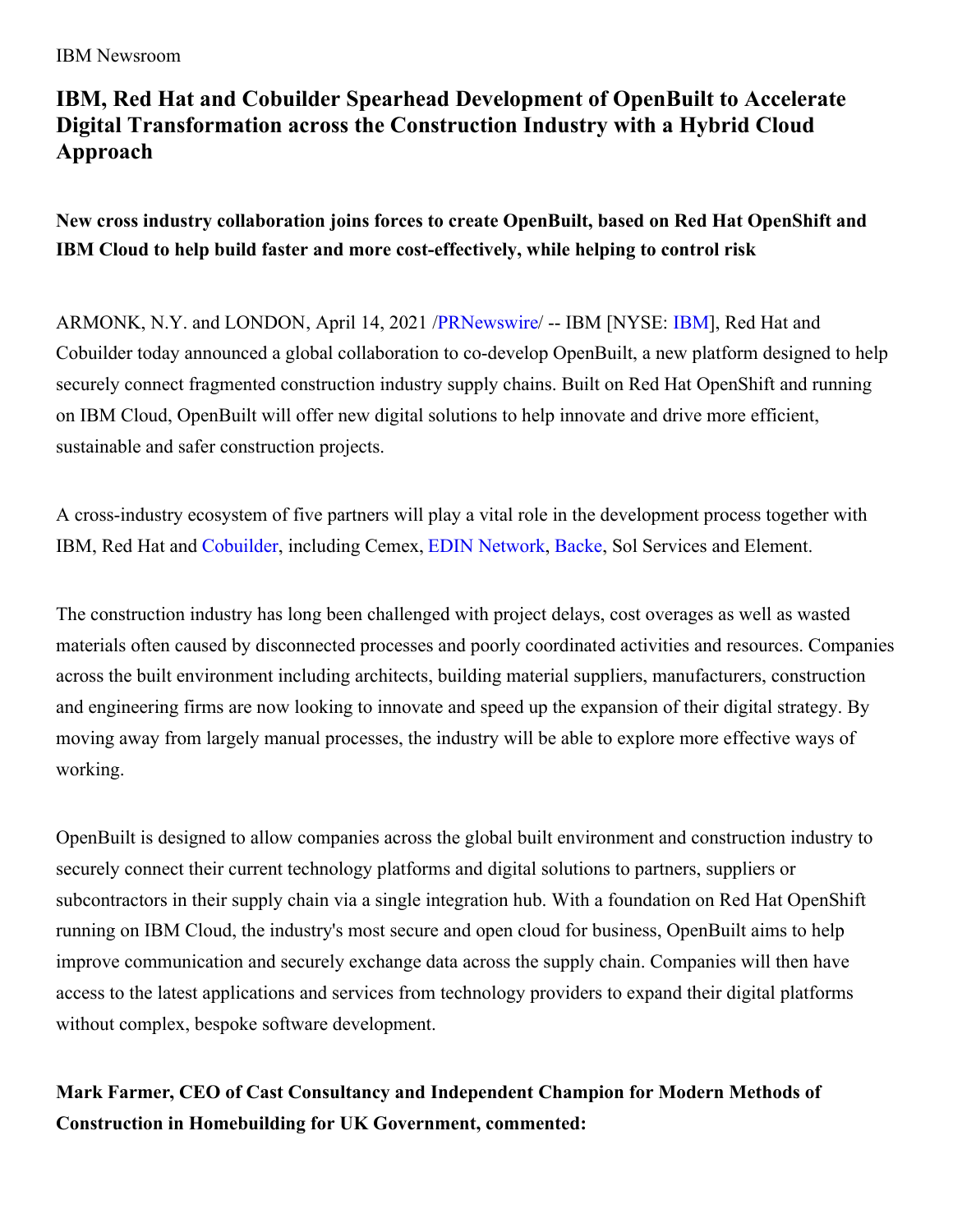# **IBM, Red Hat and Cobuilder Spearhead Development of OpenBuilt to Accelerate Digital Transformation across the Construction Industry with a Hybrid Cloud Approach**

**New cross industry collaboration joins forces to create OpenBuilt, based on Red Hat OpenShift and IBM Cloud to help build faster and more cost-effectively, while helping to control risk**

ARMONK, N.Y. and LONDON, April 14, 2021 [/PRNewswire](http://www.prnewswire.com/)/ -- IBM [NYSE: [IBM\]](https://c212.net/c/link/?t=0&l=en&o=3128333-1&h=2716933934&u=http%3A%2F%2Fwww.ibm.com%2Finvestor&a=IBM), Red Hat and Cobuilder today announced a global collaboration to co-develop OpenBuilt, a new platform designed to help securely connect fragmented construction industry supply chains. Built on Red Hat OpenShift and running on IBM Cloud, OpenBuilt will offer new digital solutions to help innovate and drive more efficient, sustainable and safer construction projects.

A cross-industry ecosystem of five partners will play a vital role in the development process together with IBM, Red Hat and [Cobuilder](https://c212.net/c/link/?t=0&l=en&o=3128333-1&h=1618750068&u=https%3A%2F%2Fcobuilder.com%2Fen%2FCobuilder-welcomes-OpenBuilt%2F&a=Cobuilder), including Cemex, EDIN [Network](https://c212.net/c/link/?t=0&l=en&o=3128333-1&h=164934890&u=https%3A%2F%2Fwww.edinnetwork.com%2Fedin-co-founds-openbuilt%2F&a=EDIN+Network), [Backe](https://c212.net/c/link/?t=0&l=en&o=3128333-1&h=3888185760&u=https%3A%2F%2Fbacke.no%2Fblog&a=Backe), Sol Services and Element.

The construction industry has long been challenged with project delays, cost overages as well as wasted materials often caused by disconnected processes and poorly coordinated activities and resources. Companies across the built environment including architects, building material suppliers, manufacturers, construction and engineering firms are now looking to innovate and speed up the expansion of their digital strategy. By moving away from largely manual processes, the industry will be able to explore more effective ways of working.

OpenBuilt is designed to allow companies across the global built environment and construction industry to securely connect their current technology platforms and digital solutions to partners, suppliers or subcontractors in their supply chain via a single integration hub. With a foundation on Red Hat OpenShift running on IBM Cloud, the industry's most secure and open cloud for business, OpenBuilt aims to help improve communication and securely exchange data across the supply chain. Companies will then have access to the latest applications and services from technology providers to expand their digital platforms without complex, bespoke software development.

**Mark Farmer, CEO of Cast Consultancy and Independent Champion for Modern Methods of Construction in Homebuilding for UK Government, commented:**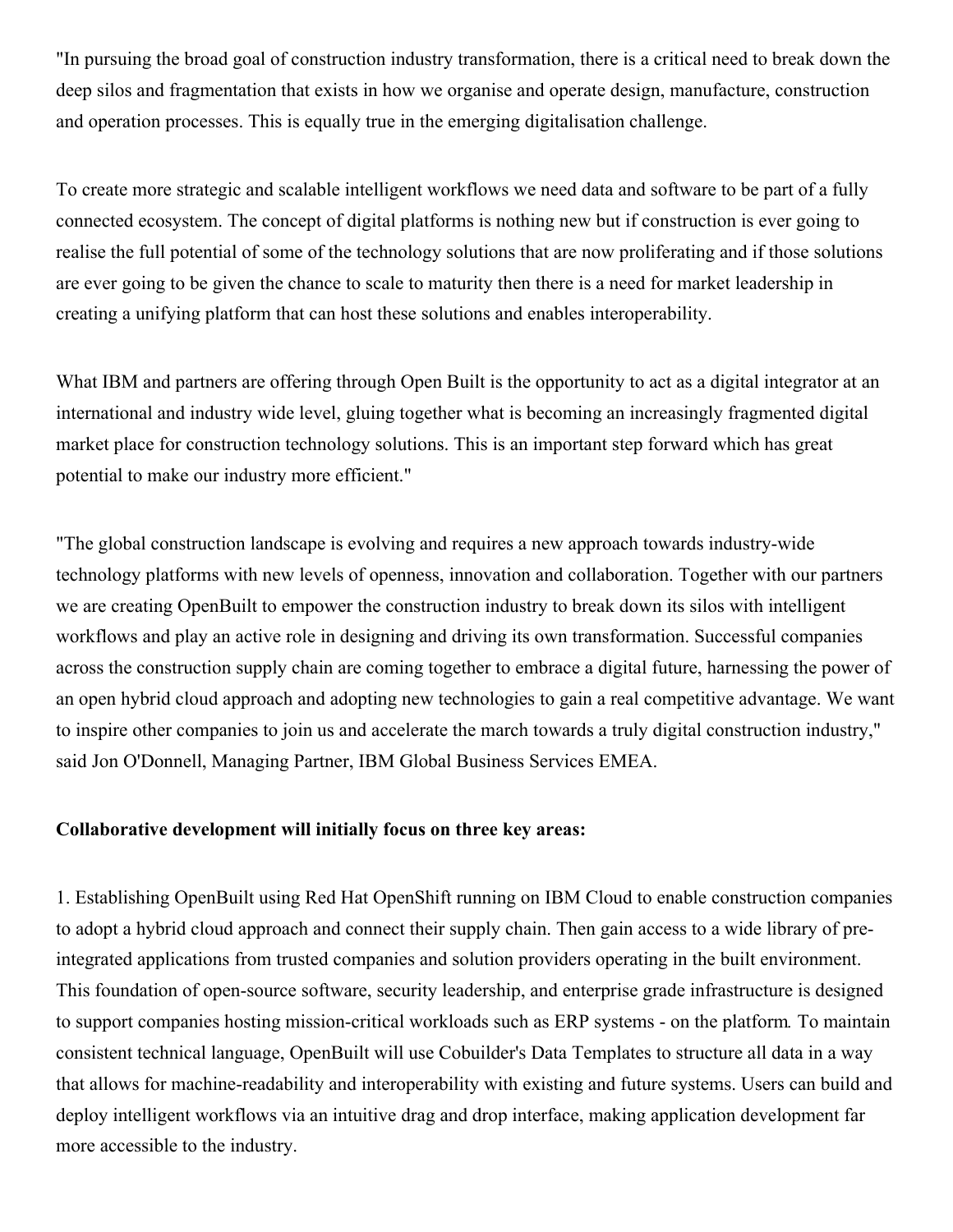"In pursuing the broad goal of construction industry transformation, there is a critical need to break down the deep silos and fragmentation that exists in how we organise and operate design, manufacture, construction and operation processes. This is equally true in the emerging digitalisation challenge.

To create more strategic and scalable intelligent workflows we need data and software to be part of a fully connected ecosystem. The concept of digital platforms is nothing new but if construction is ever going to realise the full potential of some of the technology solutions that are now proliferating and if those solutions are ever going to be given the chance to scale to maturity then there is a need for market leadership in creating a unifying platform that can host these solutions and enables interoperability.

What IBM and partners are offering through Open Built is the opportunity to act as a digital integrator at an international and industry wide level, gluing together what is becoming an increasingly fragmented digital market place for construction technology solutions. This is an important step forward which has great potential to make our industry more efficient."

"The global construction landscape is evolving and requires a new approach towards industry-wide technology platforms with new levels of openness, innovation and collaboration. Together with our partners we are creating OpenBuilt to empower the construction industry to break down its silos with intelligent workflows and play an active role in designing and driving its own transformation. Successful companies across the construction supply chain are coming together to embrace a digital future, harnessing the power of an open hybrid cloud approach and adopting new technologies to gain a real competitive advantage. We want to inspire other companies to join us and accelerate the march towards a truly digital construction industry," said Jon O'Donnell, Managing Partner, IBM Global Business Services EMEA.

#### **Collaborative development will initially focus on three key areas:**

1. Establishing OpenBuilt using Red Hat OpenShift running on IBM Cloud to enable construction companies to adopt a hybrid cloud approach and connect their supply chain. Then gain access to a wide library of preintegrated applications from trusted companies and solution providers operating in the built environment. This foundation of open-source software, security leadership, and enterprise grade infrastructure is designed to support companies hosting mission-critical workloads such as ERP systems - on the platform*.* To maintain consistent technical language, OpenBuilt will use Cobuilder's Data Templates to structure all data in a way that allows for machine-readability and interoperability with existing and future systems. Users can build and deploy intelligent workflows via an intuitive drag and drop interface, making application development far more accessible to the industry.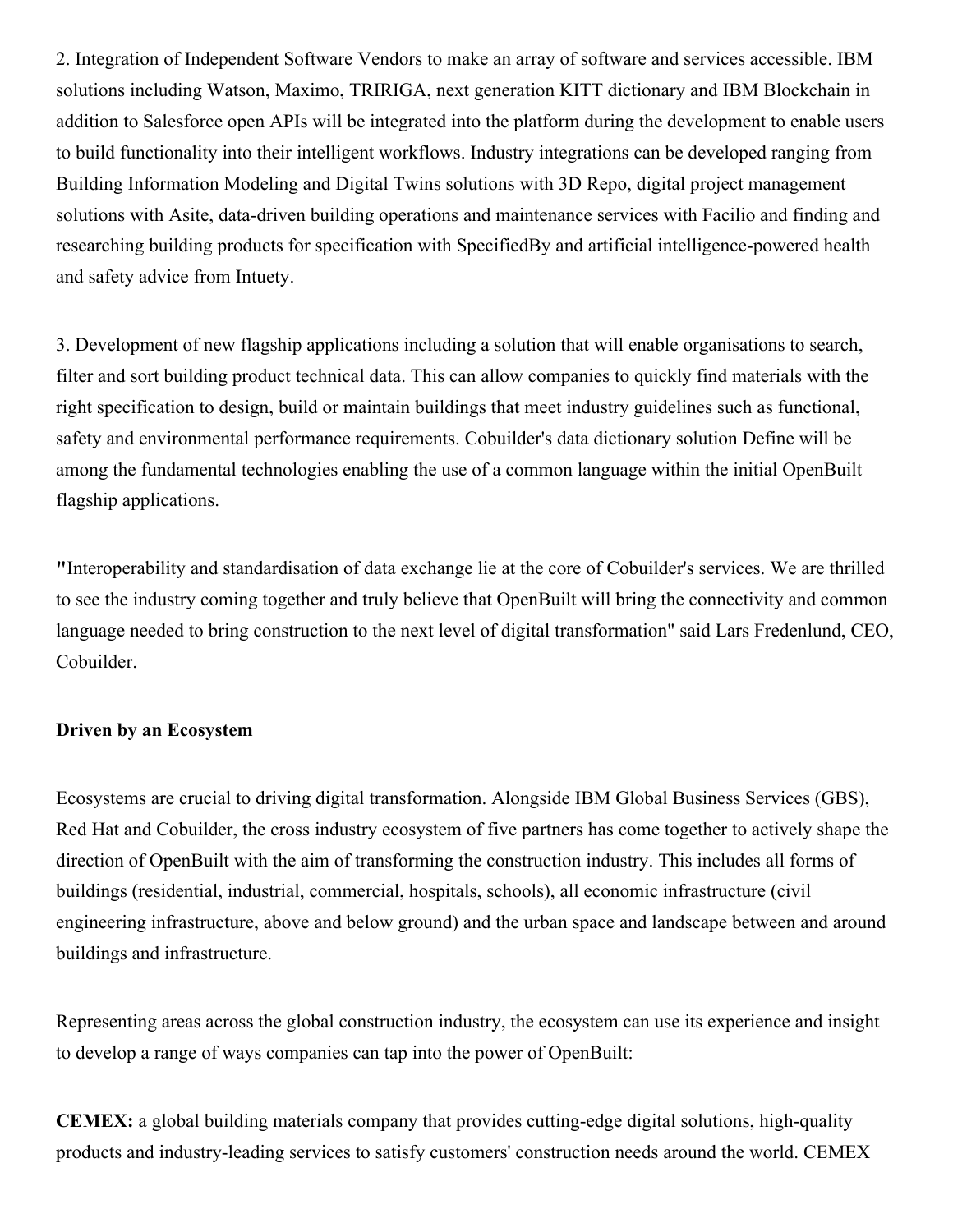2. Integration of Independent Software Vendors to make an array of software and services accessible. IBM solutions including Watson, Maximo, TRIRIGA, next generation KITT dictionary and IBM Blockchain in addition to Salesforce open APIs will be integrated into the platform during the development to enable users to build functionality into their intelligent workflows. Industry integrations can be developed ranging from Building Information Modeling and Digital Twins solutions with 3D Repo, digital project management solutions with Asite, data-driven building operations and maintenance services with Facilio and finding and researching building products for specification with SpecifiedBy and artificial intelligence-powered health and safety advice from Intuety.

3. Development of new flagship applications including a solution that will enable organisations to search, filter and sort building product technical data. This can allow companies to quickly find materials with the right specification to design, build or maintain buildings that meet industry guidelines such as functional, safety and environmental performance requirements. Cobuilder's data dictionary solution Define will be among the fundamental technologies enabling the use of a common language within the initial OpenBuilt flagship applications.

**"**Interoperability and standardisation of data exchange lie at the core of Cobuilder's services. We are thrilled to see the industry coming together and truly believe that OpenBuilt will bring the connectivity and common language needed to bring construction to the next level of digital transformation" said Lars Fredenlund, CEO, Cobuilder.

#### **Driven by an Ecosystem**

Ecosystems are crucial to driving digital transformation. Alongside IBM Global Business Services (GBS), Red Hat and Cobuilder, the cross industry ecosystem of five partners has come together to actively shape the direction of OpenBuilt with the aim of transforming the construction industry. This includes all forms of buildings (residential, industrial, commercial, hospitals, schools), all economic infrastructure (civil engineering infrastructure, above and below ground) and the urban space and landscape between and around buildings and infrastructure.

Representing areas across the global construction industry, the ecosystem can use its experience and insight to develop a range of ways companies can tap into the power of OpenBuilt:

**CEMEX:** a global building materials company that provides cutting-edge digital solutions, high-quality products and industry-leading services to satisfy customers' construction needs around the world. CEMEX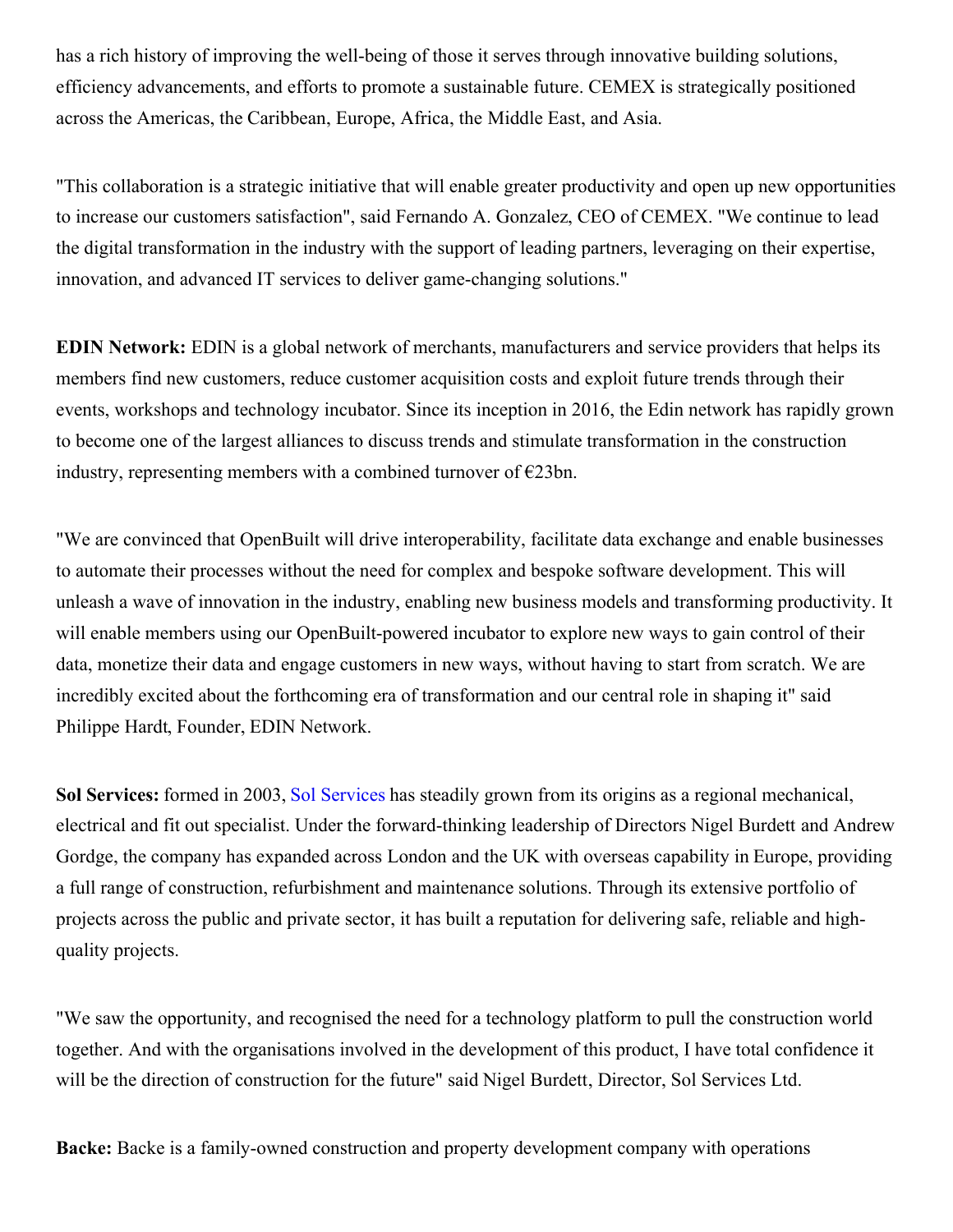has a rich history of improving the well-being of those it serves through innovative building solutions, efficiency advancements, and efforts to promote a sustainable future. CEMEX is strategically positioned across the Americas, the Caribbean, Europe, Africa, the Middle East, and Asia.

"This collaboration is a strategic initiative that will enable greater productivity and open up new opportunities to increase our customers satisfaction", said Fernando A. Gonzalez, CEO of CEMEX. "We continue to lead the digital transformation in the industry with the support of leading partners, leveraging on their expertise, innovation, and advanced IT services to deliver game-changing solutions."

**EDIN Network:** EDIN is a global network of merchants, manufacturers and service providers that helps its members find new customers, reduce customer acquisition costs and exploit future trends through their events, workshops and technology incubator. Since its inception in 2016, the Edin network has rapidly grown to become one of the largest alliances to discuss trends and stimulate transformation in the construction industry, representing members with a combined turnover of  $\epsilon$ 23bn.

"We are convinced that OpenBuilt will drive interoperability, facilitate data exchange and enable businesses to automate their processes without the need for complex and bespoke software development. This will unleash a wave of innovation in the industry, enabling new business models and transforming productivity. It will enable members using our OpenBuilt-powered incubator to explore new ways to gain control of their data, monetize their data and engage customers in new ways, without having to start from scratch. We are incredibly excited about the forthcoming era of transformation and our central role in shaping it" said Philippe Hardt, Founder, EDIN Network.

**Sol Services:** formed in 2003, Sol [Services](https://c212.net/c/link/?t=0&l=en&o=3128333-1&h=1132222448&u=https%3A%2F%2Fwww.solservices.co.uk%2F&a=Sol+Services) has steadily grown from its origins as a regional mechanical, electrical and fit out specialist. Under the forward-thinking leadership of Directors Nigel Burdett and Andrew Gordge, the company has expanded across London and the UK with overseas capability in Europe, providing a full range of construction, refurbishment and maintenance solutions. Through its extensive portfolio of projects across the public and private sector, it has built a reputation for delivering safe, reliable and highquality projects.

"We saw the opportunity, and recognised the need for a technology platform to pull the construction world together. And with the organisations involved in the development of this product, I have total confidence it will be the direction of construction for the future" said Nigel Burdett, Director, Sol Services Ltd.

**Backe:** Backe is a family-owned construction and property development company with operations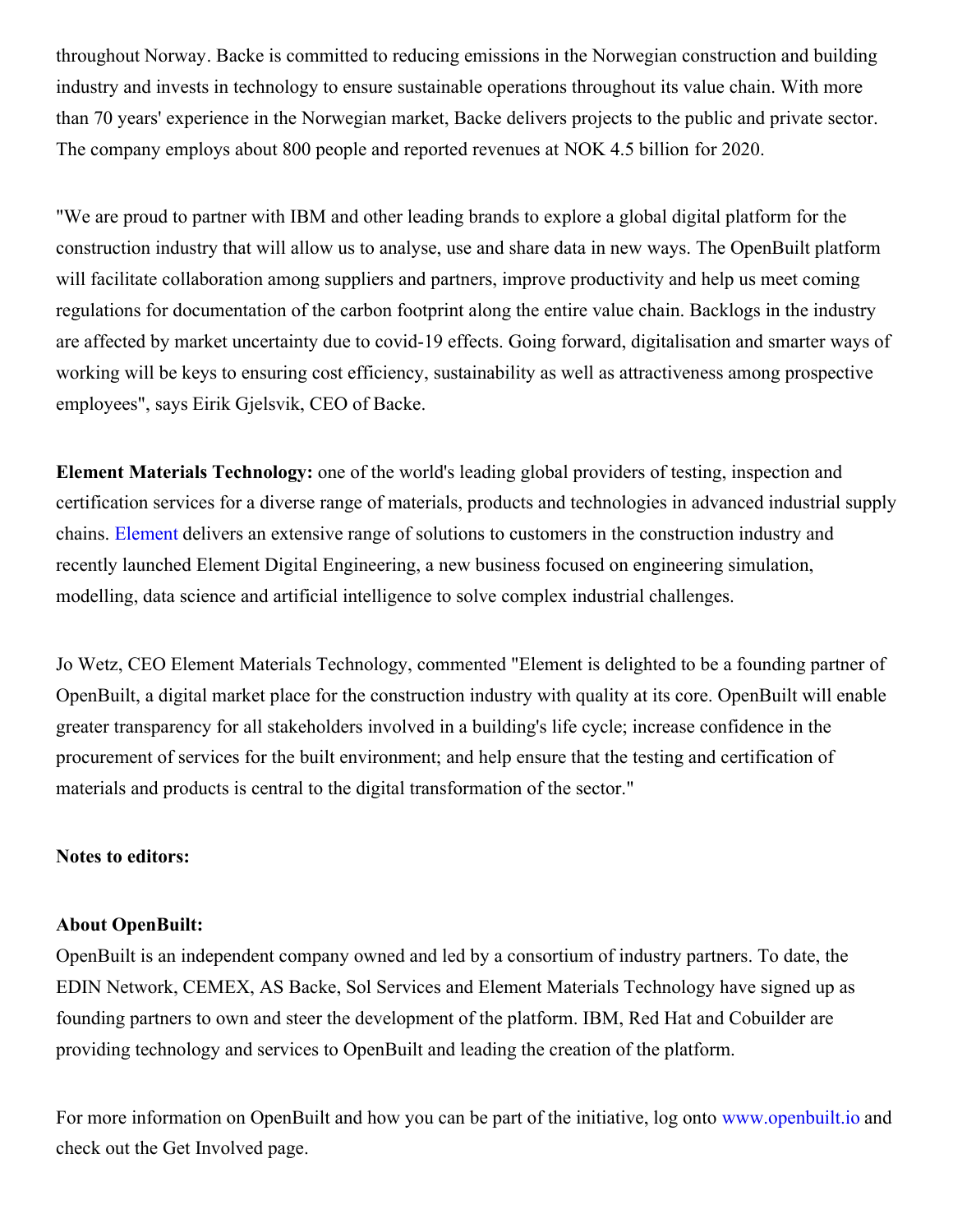throughout Norway. Backe is committed to reducing emissions in the Norwegian construction and building industry and invests in technology to ensure sustainable operations throughout its value chain. With more than 70 years' experience in the Norwegian market, Backe delivers projects to the public and private sector. The company employs about 800 people and reported revenues at NOK 4.5 billion for 2020.

"We are proud to partner with IBM and other leading brands to explore a global digital platform for the construction industry that will allow us to analyse, use and share data in new ways. The OpenBuilt platform will facilitate collaboration among suppliers and partners, improve productivity and help us meet coming regulations for documentation of the carbon footprint along the entire value chain. Backlogs in the industry are affected by market uncertainty due to covid-19 effects. Going forward, digitalisation and smarter ways of working will be keys to ensuring cost efficiency, sustainability as well as attractiveness among prospective employees", says Eirik Gjelsvik, CEO of Backe.

**Element Materials Technology:** one of the world's leading global providers of testing, inspection and certification services for a diverse range of materials, products and technologies in advanced industrial supply chains. [Element](https://c212.net/c/link/?t=0&l=en&o=3128333-1&h=1770066433&u=http%3A%2F%2Fwww.element.com%2F&a=Element) delivers an extensive range of solutions to customers in the construction industry and recently launched Element Digital Engineering, a new business focused on engineering simulation, modelling, data science and artificial intelligence to solve complex industrial challenges.

Jo Wetz, CEO Element Materials Technology, commented "Element is delighted to be a founding partner of OpenBuilt, a digital market place for the construction industry with quality at its core. OpenBuilt will enable greater transparency for all stakeholders involved in a building's life cycle; increase confidence in the procurement of services for the built environment; and help ensure that the testing and certification of materials and products is central to the digital transformation of the sector."

#### **Notes to editors:**

#### **About OpenBuilt:**

OpenBuilt is an independent company owned and led by a consortium of industry partners. To date, the EDIN Network, CEMEX, AS Backe, Sol Services and Element Materials Technology have signed up as founding partners to own and steer the development of the platform. IBM, Red Hat and Cobuilder are providing technology and services to OpenBuilt and leading the creation of the platform.

For more information on OpenBuilt and how you can be part of the initiative, log onto [www.openbuilt.io](https://c212.net/c/link/?t=0&l=en&o=3128333-1&h=822833096&u=http%3A%2F%2Fwww.openbuilt.io%2F&a=www.openbuilt.io) and check out the Get Involved page.